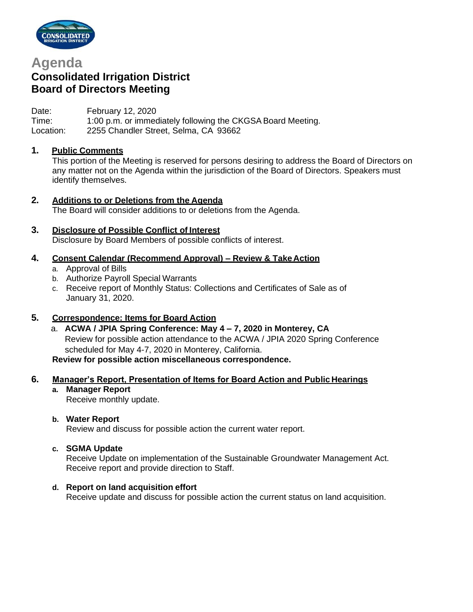

# **Agenda**

# **Consolidated Irrigation District Board of Directors Meeting**

Date: February 12, 2020 Time: 1:00 p.m. or immediately following the CKGSA Board Meeting. Location: 2255 Chandler Street, Selma, CA 93662

# **1. Public Comments**

This portion of the Meeting is reserved for persons desiring to address the Board of Directors on any matter not on the Agenda within the jurisdiction of the Board of Directors. Speakers must identify themselves.

# **2. Additions to or Deletions from the Agenda**

The Board will consider additions to or deletions from the Agenda.

## **3. Disclosure of Possible Conflict of Interest**

Disclosure by Board Members of possible conflicts of interest.

## **4. Consent Calendar (Recommend Approval) – Review & TakeAction**

- a. Approval of Bills
- b. Authorize Payroll Special Warrants
- c. Receive report of Monthly Status: Collections and Certificates of Sale as of January 31, 2020.

## **5. Correspondence: Items for Board Action**

a. **ACWA / JPIA Spring Conference: May 4 – 7, 2020 in Monterey, CA** Review for possible action attendance to the ACWA / JPIA 2020 Spring Conference scheduled for May 4-7, 2020 in Monterey, California. **Review for possible action miscellaneous correspondence.**

## **6. Manager's Report, Presentation of Items for Board Action and Public Hearings**

**a. Manager Report** Receive monthly update.

#### **b. Water Report**

Review and discuss for possible action the current water report.

#### **c. SGMA Update**

Receive Update on implementation of the Sustainable Groundwater Management Act. Receive report and provide direction to Staff.

#### **d. Report on land acquisition effort**

Receive update and discuss for possible action the current status on land acquisition.